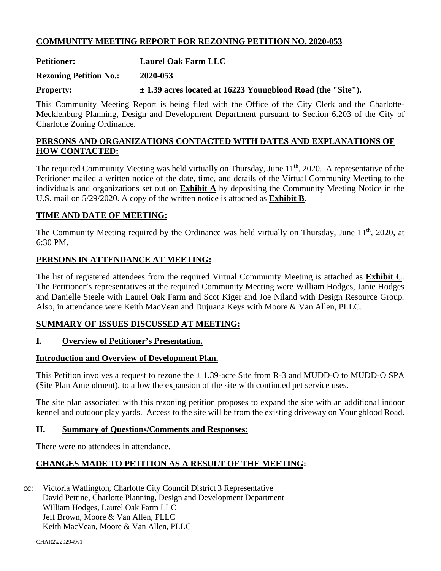## **COMMUNITY MEETING REPORT FOR REZONING PETITION NO. 2020-053**

**Petitioner: Laurel Oak Farm LLC** 

**Rezoning Petition No.: 2020-053** 

**Property:**  $\pm 1.39$  acres located at 16223 Youngblood Road (the "Site").

This Community Meeting Report is being filed with the Office of the City Clerk and the Charlotte-Mecklenburg Planning, Design and Development Department pursuant to Section 6.203 of the City of Charlotte Zoning Ordinance.

### **PERSONS AND ORGANIZATIONS CONTACTED WITH DATES AND EXPLANATIONS OF HOW CONTACTED:**

The required Community Meeting was held virtually on Thursday, June  $11<sup>th</sup>$ , 2020. A representative of the Petitioner mailed a written notice of the date, time, and details of the Virtual Community Meeting to the individuals and organizations set out on **Exhibit A** by depositing the Community Meeting Notice in the U.S. mail on 5/29/2020. A copy of the written notice is attached as **Exhibit B**.

### **TIME AND DATE OF MEETING:**

The Community Meeting required by the Ordinance was held virtually on Thursday, June 11<sup>th</sup>, 2020, at 6:30 PM.

## **PERSONS IN ATTENDANCE AT MEETING:**

The list of registered attendees from the required Virtual Community Meeting is attached as **Exhibit C**. The Petitioner's representatives at the required Community Meeting were William Hodges, Janie Hodges and Danielle Steele with Laurel Oak Farm and Scot Kiger and Joe Niland with Design Resource Group*.* Also, in attendance were Keith MacVean and Dujuana Keys with Moore & Van Allen, PLLC.

### **SUMMARY OF ISSUES DISCUSSED AT MEETING:**

### **I. Overview of Petitioner's Presentation.**

### **Introduction and Overview of Development Plan.**

This Petition involves a request to rezone the  $\pm$  1.39-acre Site from R-3 and MUDD-O to MUDD-O SPA (Site Plan Amendment), to allow the expansion of the site with continued pet service uses.

The site plan associated with this rezoning petition proposes to expand the site with an additional indoor kennel and outdoor play yards. Access to the site will be from the existing driveway on Youngblood Road.

### **II. Summary of Questions/Comments and Responses:**

There were no attendees in attendance.

# **CHANGES MADE TO PETITION AS A RESULT OF THE MEETING:**

cc: Victoria Watlington, Charlotte City Council District 3 Representative David Pettine, Charlotte Planning, Design and Development Department William Hodges, Laurel Oak Farm LLC Jeff Brown, Moore & Van Allen, PLLC Keith MacVean, Moore & Van Allen, PLLC

CHAR2\2292949v1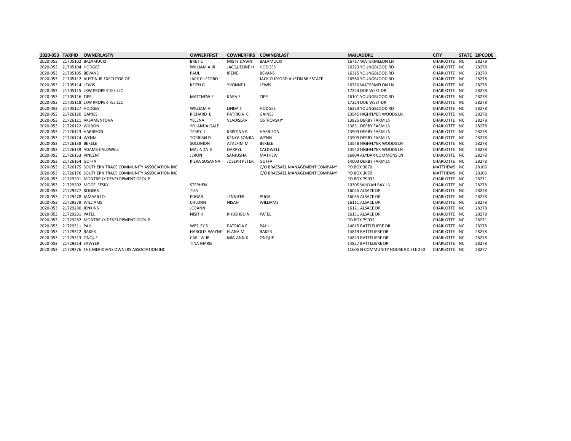|          |                            | 2020-053 TAXPID OWNERLASTN                                 | <b>OWNERFIRST</b>    |                     | <b>COWNERFIRS COWNERLAST</b>    | <b>MAILADDR1</b>                   | <b>CITY</b>  | <b>STATE ZIPCODE</b> |
|----------|----------------------------|------------------------------------------------------------|----------------------|---------------------|---------------------------------|------------------------------------|--------------|----------------------|
|          |                            | 2020-053 21705102 BALAMUCKI                                | <b>BRET C</b>        | <b>MISTY DAWN</b>   | <b>BALAMUCKI</b>                | 16717 WATERMELON LN                | CHARLOTTE NC | 28278                |
|          | 2020-053 21705104 HODGES   |                                                            | <b>WILLIAM A JR</b>  | <b>JACQUELINE H</b> | <b>HODGES</b>                   | 16223 YOUNGBLOOD RD                | CHARLOTTE NC | 28278                |
|          | 2020-053 21705105 BEVANS   |                                                            | PAUL                 | <b>IRENE</b>        | <b>BEVANS</b>                   | 16315 YOUNGBLOOD RD                | CHARLOTTE NC | 28279                |
| 2020-053 |                            | 21705112 AUSTIN JR EXECUTOR OF                             | <b>JACK CLIFFORD</b> |                     | JACK CLIFFORD AUSTIN SR ESTATE  | 16560 YOUNGBLOOD RD                | CHARLOTTE NC | 28278                |
|          | 2020-053 21705114 LEWIS    |                                                            | <b>KEITH G</b>       | YVONNE L            | LEWIS                           | 16710 WATERMELON LN                | CHARLOTTE NC | 28278                |
|          |                            | 2020-053 21705115 LKW PROPERTIES LLC                       |                      |                     |                                 | 17224 DUE WEST DR                  | CHARLOTTE NC | 28278                |
|          | 2020-053 21705116 TIPP     |                                                            | <b>MATTHEW E</b>     | <b>KARA S</b>       | <b>TIPP</b>                     | 16101 YOUNGBLOOD RD                | CHARLOTTE NC | 28278                |
|          |                            | 2020-053 21705118 LKW PROPERTIES LLC                       |                      |                     |                                 | 17224 DUE WEST DR                  | CHARLOTTE NC | 28278                |
|          | 2020-053 21705127 HODGES   |                                                            | <b>WILLIAM A</b>     | LINDA T             | <b>HODGES</b>                   | 16223 YOUNGBLOOD RD                | CHARLOTTE NC | 28278                |
|          | 2020-053 21726120 GAINES   |                                                            | <b>RICHARD L</b>     | PATRICIA C          | <b>GAINES</b>                   | 13545 HIGHFLYER WOODS LN           | CHARLOTTE NC | 28278                |
|          |                            | 2020-053 21726121 AKSAMENTOVA                              | YELENA               | <b>VLADISLAV</b>    | <b>OSTROVSKIY</b>               | 13825 DERBY FARM LN                | CHARLOTTE NC | 28278                |
|          | 2020-053 21726122 WILBON   |                                                            | YOLANDA GALE         |                     |                                 | 13831 DERBY FARM LN                | CHARLOTTE NC | 28278                |
|          |                            | 2020-053 21726123 HARRISON                                 | <b>TERRY L</b>       | <b>KRISTINA R</b>   | <b>HARRISON</b>                 | 13903 DERBY FARM LN                | CHARLOTTE NC | 28278                |
|          | 2020-053 21726124 WYNN     |                                                            | <b>TORRIAN D</b>     | <b>KENYA SONJIA</b> | <b>WYNN</b>                     | 13909 DERBY FARM LN                | CHARLOTTE NC | 28278                |
|          | 2020-053 21726138 BEKELE   |                                                            | SOLOMON              | ATALFIM M           | <b>BEKELE</b>                   | 13548 HIGHFLYER WOODS LN           | CHARLOTTE NC | 28278                |
| 2020-053 |                            | 21726139 ADAMS-CALDWELL                                    | MALINDA K            | DARRYL              | CALDWELL                        | 13542 HIGHFLYER WOODS LN           | CHARLOTTE NC | 28278                |
|          | 2020-053 21726163 VINCENT  |                                                            | <b>JERON</b>         | SANJUSHA            | <b>MATHEW</b>                   | 16804 ALYDAR COMMONS LN            | CHARLOTTE NC | 28278                |
|          | 2020-053 21726164 GOFFA    |                                                            | <b>KIERA SUSANNA</b> | <b>JOSEPH PETER</b> | <b>GOFFA</b>                    | 14003 DERBY FARM LN                | CHARLOTTE NC | 28278                |
|          |                            | 2020-053 21726175 SOUTHERN TRACE COMMUNITY ASSOCIATION INC |                      |                     | C/O BRAESAEL MANAGEMENT COMPANY | PO BOX 3070                        | MATTHEWS NC  | 28106                |
| 2020-053 |                            | 21726176 SOUTHERN TRACE COMMUNITY ASSOCIATION INC          |                      |                     | C/O BRAESAEL MANAGEMENT COMPANY | PO BOX 3070                        | MATTHEWS NC  | 28106                |
|          |                            | 2020-053 21729201 MONTREUX DEVELOPMENT GROUP               |                      |                     |                                 | PO BOX 79032                       | CHARLOTTE NC | 28271                |
|          |                            | 2020-053 21729202 MOGELEFSKY                               | <b>STEPHEN</b>       |                     |                                 | 10305 WINYAH BAY LN                | CHARLOTTE NC | 28278                |
|          | 2020-053 21729277 ROGERS   |                                                            | <b>TISA</b>          |                     |                                 | 16025 ALSACE DR                    | CHARLOTTE NC | 28278                |
|          |                            | 2020-053 21729278 JAMARILLO                                | EDGAR                | <b>JENNIFER</b>     | <b>PUGA</b>                     | 16035 ALSACE DR                    | CHARLOTTE NC | 28278                |
|          | 2020-053 21729279 WILLIAMS |                                                            | <b>CHLONN</b>        | NISAN               | <b>WILLIAMS</b>                 | 16111 ALSACE DR                    | CHARLOTTE NC | 28278                |
|          | 2020-053 21729280 JENKINS  |                                                            | <b>JOEANN</b>        |                     |                                 | 16121 ALSACE DR                    | CHARLOTTE NC | 28278                |
|          | 2020-053 21729281 PATEL    |                                                            | <b>NISIT H</b>       | <b>KHUSHBUN</b>     | <b>PATEL</b>                    | 16131 ALSACE DR                    | CHARLOTTE NC | 28278                |
| 2020-053 |                            | 21729282 MONTREUX DEVELOPMENT GROUP                        |                      |                     |                                 | PO BOX 79032                       | CHARLOTTE NC | 28271                |
|          | 2020-053 21729311 PAHL     |                                                            | <b>WESLEY S</b>      | <b>PATRICIA E</b>   | PAHL                            | 14815 BATTLELIERE DR               | CHARLOTTE NC | 28278                |
|          | 2020-053 21729312 BAKER    |                                                            | HAROLD WAYNE         | ELANA M             | <b>BAKER</b>                    | 14819 BATTELIERE DR                | CHARLOTTE NC | 28278                |
|          | 2020-053 21729313 ONQUE    |                                                            | CARL W JR            | MIA-ANN K           | <b>ONQUE</b>                    | 14823 BATTELIERE DR                | CHARLOTTE NC | 28278                |
|          | 2020-053 21729314 SAWYER   |                                                            | <b>TINA MARIE</b>    |                     |                                 | 14827 BATTELIERE DR                | CHARLOTTE NC | 28278                |
|          |                            | 2020-053 21729376 THE MERIDIANS OWNERS ASSOCIATION INC     |                      |                     |                                 | 11605 N COMMUNITY HOUSE RD STE 250 | CHARLOTTE NC | 28277                |
|          |                            |                                                            |                      |                     |                                 |                                    |              |                      |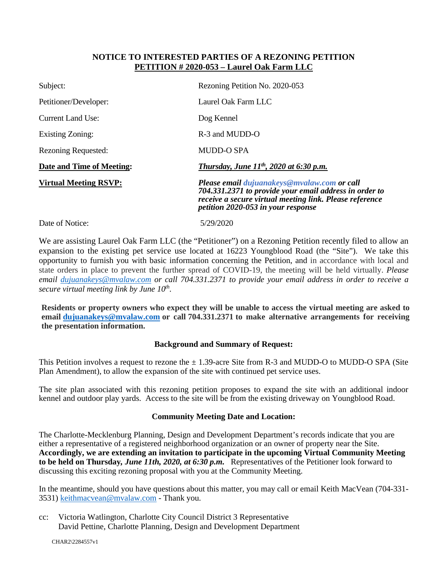#### **NOTICE TO INTERESTED PARTIES OF A REZONING PETITION PETITION # 2020-053 – Laurel Oak Farm LLC**

| Subject:                     | Rezoning Petition No. 2020-053                                                                                                                                                                                       |
|------------------------------|----------------------------------------------------------------------------------------------------------------------------------------------------------------------------------------------------------------------|
| Petitioner/Developer:        | Laurel Oak Farm LLC                                                                                                                                                                                                  |
| Current Land Use:            | Dog Kennel                                                                                                                                                                                                           |
| Existing Zoning:             | R-3 and MUDD-O                                                                                                                                                                                                       |
| <b>Rezoning Requested:</b>   | <b>MUDD-O SPA</b>                                                                                                                                                                                                    |
| Date and Time of Meeting:    | Thursday, June $11^{th}$ , 2020 at 6:30 p.m.                                                                                                                                                                         |
| <b>Virtual Meeting RSVP:</b> | <b>Please email dujuanakeys@mvalaw.com or call</b><br>704.331.2371 to provide your email address in order to<br>receive a secure virtual meeting link. Please reference<br><i>petition 2020-053 in your response</i> |
| Date of Notice:              | 5/29/2020                                                                                                                                                                                                            |

We are assisting Laurel Oak Farm LLC (the "Petitioner") on a Rezoning Petition recently filed to allow an expansion to the existing pet service use located at 16223 Youngblood Road (the "Site"). We take this opportunity to furnish you with basic information concerning the Petition, and in accordance with local and state orders in place to prevent the further spread of COVID-19, the meeting will be held virtually. *Please email dujuanakeys@mvalaw.com or call 704.331.2371 to provide your email address in order to receive a secure virtual meeting link by June 10th .* 

**Residents or property owners who expect they will be unable to access the virtual meeting are asked to email dujuanakeys@mvalaw.com or call 704.331.2371 to make alternative arrangements for receiving the presentation information.** 

#### **Background and Summary of Request:**

This Petition involves a request to rezone the  $\pm$  1.39-acre Site from R-3 and MUDD-O to MUDD-O SPA (Site Plan Amendment), to allow the expansion of the site with continued pet service uses.

The site plan associated with this rezoning petition proposes to expand the site with an additional indoor kennel and outdoor play yards. Access to the site will be from the existing driveway on Youngblood Road.

#### **Community Meeting Date and Location:**

The Charlotte-Mecklenburg Planning, Design and Development Department's records indicate that you are either a representative of a registered neighborhood organization or an owner of property near the Site. **Accordingly, we are extending an invitation to participate in the upcoming Virtual Community Meeting to be held on Thursday***, June 11th, 2020, at 6:30 p.m.* Representatives of the Petitioner look forward to discussing this exciting rezoning proposal with you at the Community Meeting.

In the meantime, should you have questions about this matter, you may call or email Keith MacVean (704-331- 3531) keithmacvean@mvalaw.com - Thank you.

cc: Victoria Watlington, Charlotte City Council District 3 Representative David Pettine, Charlotte Planning, Design and Development Department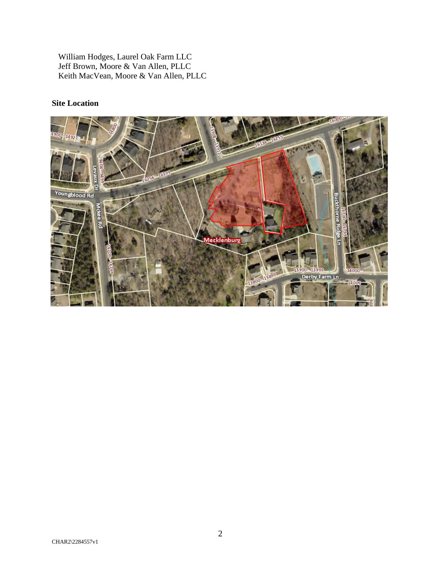William Hodges, Laurel Oak Farm LLC Jeff Brown, Moore & Van Allen, PLLC Keith MacVean, Moore & Van Allen, PLLC

### **Site Location**